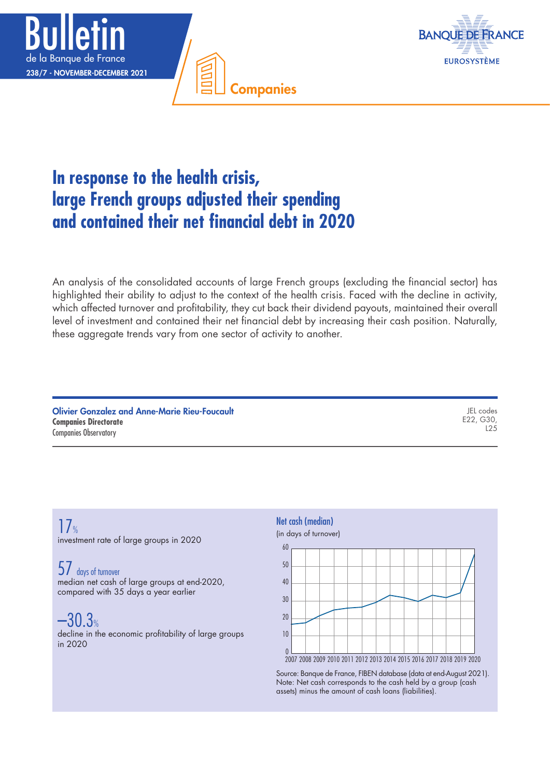



# **In response to the health crisis, large French groups adjusted their spending and contained their net financial debt in 2020**

An analysis of the consolidated accounts of large French groups (excluding the financial sector) has highlighted their ability to adjust to the context of the health crisis. Faced with the decline in activity, which affected turnover and profitability, they cut back their dividend payouts, maintained their overall level of investment and contained their net financial debt by increasing their cash position. Naturally, these aggregate trends vary from one sector of activity to another.

Companies

| <b>Olivier Gonzalez and Anne-Marie Rieu-Foucault</b> | JEL codes |
|------------------------------------------------------|-----------|
| <b>Companies Directorate</b>                         | E22, G30. |
| <b>Companies Observatory</b>                         |           |

# $17$ investment rate of large groups in 2020

# 57 days of turnover

median net cash of large groups at end-2020, compared with 35 days a year earlier

# $-30.3%$

decline in the economic profitability of large groups in 2020



Source: Banque de France, FIBEN database (data at end-August 2021). Note: Net cash corresponds to the cash held by a group (cash assets) minus the amount of cash loans (liabilities).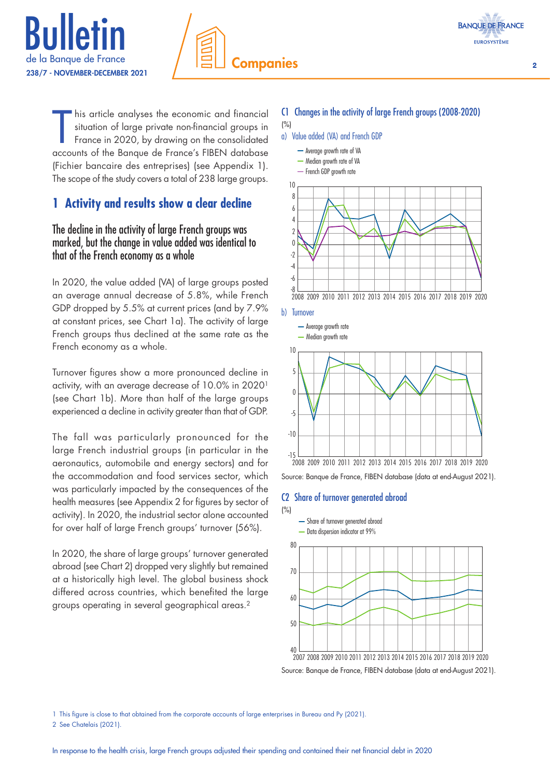





his article analyses the economic and financial<br>situation of large private non-financial groups in<br>France in 2020, by drawing on the consolidated<br>accounts of the Banque de France's FIBEN database his article analyses the economic and financial situation of large private non-financial groups in France in 2020, by drawing on the consolidated (Fichier bancaire des entreprises) (see Appendix 1). The scope of the study covers a total of 238 large groups.

# **1 Activity and results show a clear decline**

# The decline in the activity of large French groups was marked, but the change in value added was identical to that of the French economy as a whole

In 2020, the value added (VA) of large groups posted an average annual decrease of 5.8%, while French GDP dropped by 5.5% at current prices (and by 7.9% at constant prices, see Chart 1a). The activity of large French groups thus declined at the same rate as the French economy as a whole.

Turnover figures show a more pronounced decline in activity, with an average decrease of 10.0% in 20201 (see Chart 1b). More than half of the large groups experienced a decline in activity greater than that of GDP.

The fall was particularly pronounced for the large French industrial groups (in particular in the aeronautics, automobile and energy sectors) and for the accommodation and food services sector, which was particularly impacted by the consequences of the health measures (see Appendix 2 for figures by sector of activity). In 2020, the industrial sector alone accounted for over half of large French groups' turnover (56%).

In 2020, the share of large groups' turnover generated abroad (see Chart 2) dropped very slightly but remained at a historically high level. The global business shock differed across countries, which benefited the large groups operating in several geographical areas.2

# C1 Changes in the activity of large French groups (2008-2020)

- (%)
- a) Value added (VA) and French GDP





Source: Banque de France, FIBEN database (data at end-August 2021).

#### C2 Share of turnover generated abroad



Source: Banque de France, FIBEN database (data at end-August 2021).

1 This figure is close to that obtained from the corporate accounts of large enterprises in Bureau and Py (2021).

2 See Chatelais (2021).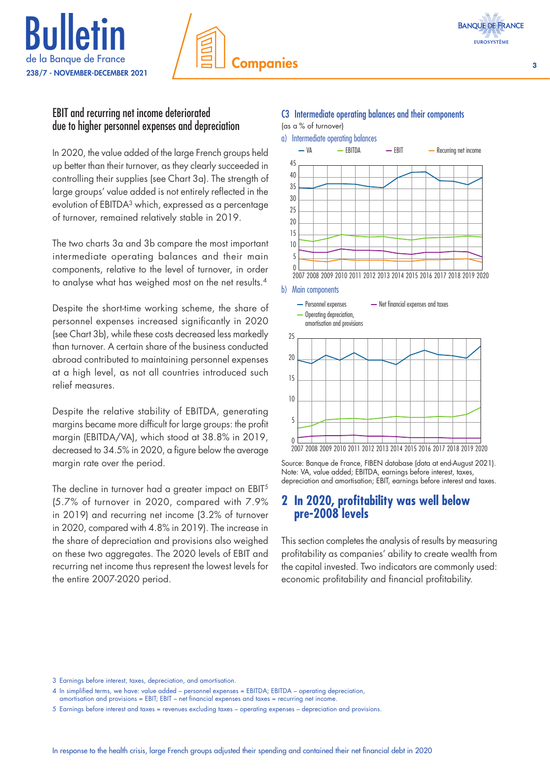





# EBIT and recurring net income deteriorated due to higher personnel expenses and depreciation

In 2020, the value added of the large French groups held up better than their turnover, as they clearly succeeded in controlling their supplies (see Chart 3a). The strength of large groups' value added is not entirely reflected in the evolution of EBITDA3 which, expressed as a percentage of turnover, remained relatively stable in 2019.

The two charts 3a and 3b compare the most important intermediate operating balances and their main components, relative to the level of turnover, in order to analyse what has weighed most on the net results.4

Despite the short-time working scheme, the share of personnel expenses increased significantly in 2020 (see Chart 3b), while these costs decreased less markedly than turnover. A certain share of the business conducted abroad contributed to maintaining personnel expenses at a high level, as not all countries introduced such relief measures.

Despite the relative stability of EBITDA, generating margins became more difficult for large groups: the profit margin (EBITDA/VA), which stood at 38.8% in 2019, decreased to 34.5% in 2020, a figure below the average margin rate over the period.

The decline in turnover had a greater impact on EBIT<sup>5</sup> (5.7% of turnover in 2020, compared with 7.9% in 2019) and recurring net income (3.2% of turnover in 2020, compared with 4.8% in 2019). The increase in the share of depreciation and provisions also weighed on these two aggregates. The 2020 levels of EBIT and recurring net income thus represent the lowest levels for the entire 2007-2020 period.

# C3 Intermediate operating balances and their components

(as a % of turnover)



Source: Banque de France, FIBEN database (data at end-August 2021). Note: VA, value added; EBITDA, earnings before interest, taxes, depreciation and amortisation; EBIT, earnings before interest and taxes.

# **2 In 2020, profitability was well below pre‑2008 levels**

This section completes the analysis of results by measuring profitability as companies' ability to create wealth from the capital invested. Two indicators are commonly used: economic profitability and financial profitability.

amortisation and provisions = EBIT; EBIT – net financial expenses and taxes = recurring net income.

<sup>3</sup> Earnings before interest, taxes, depreciation, and amortisation.

<sup>4</sup> In simplified terms, we have: value added – personnel expenses = EBITDA; EBITDA – operating depreciation,

<sup>5</sup> Earnings before interest and taxes = revenues excluding taxes – operating expenses – depreciation and provisions.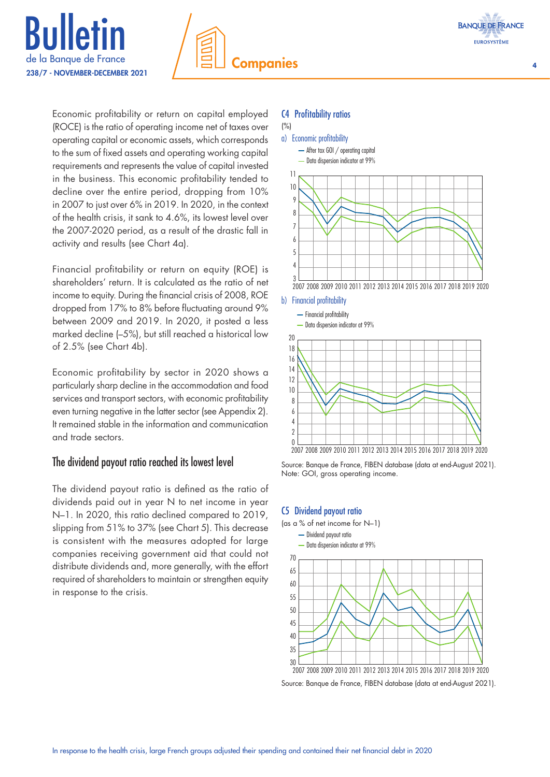





Economic profitability or return on capital employed (ROCE) is the ratio of operating income net of taxes over operating capital or economic assets, which corresponds to the sum of fixed assets and operating working capital requirements and represents the value of capital invested in the business. This economic profitability tended to decline over the entire period, dropping from 10% in 2007 to just over 6% in 2019. In 2020, in the context of the health crisis, it sank to 4.6%, its lowest level over the 2007-2020 period, as a result of the drastic fall in activity and results (see Chart 4a).

Financial profitability or return on equity (ROE) is shareholders' return. It is calculated as the ratio of net income to equity. During the financial crisis of 2008, ROE dropped from 17% to 8% before fluctuating around 9% between 2009 and 2019. In 2020, it posted a less marked decline (–5%), but still reached a historical low of 2.5% (see Chart 4b).

Economic profitability by sector in 2020 shows a particularly sharp decline in the accommodation and food services and transport sectors, with economic profitability even turning negative in the latter sector (see Appendix 2). It remained stable in the information and communication and trade sectors.

# The dividend payout ratio reached its lowest level

The dividend payout ratio is defined as the ratio of dividends paid out in year N to net income in year N–1. In 2020, this ratio declined compared to 2019, slipping from 51% to 37% (see Chart 5). This decrease is consistent with the measures adopted for large companies receiving government aid that could not distribute dividends and, more generally, with the effort required of shareholders to maintain or strengthen equity in response to the crisis.

#### C4 Profitability ratios



Source: Banque de France, FIBEN database (data at end-August 2021). Note: GOI, gross operating income.

## C5 Dividend payout ratio



Source: Banque de France, FIBEN database (data at end-August 2021).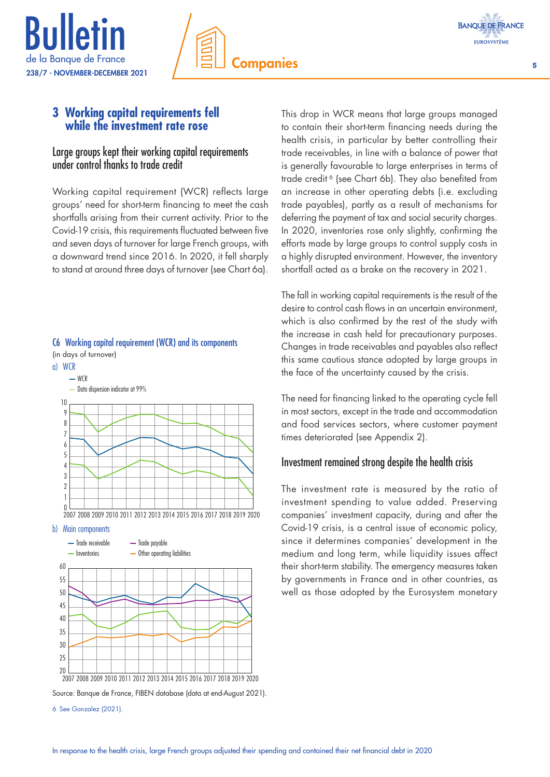

# **3 Working capital requirements fell while the investment rate rose**

# Large groups kept their working capital requirements under control thanks to trade credit

Working capital requirement (WCR) reflects large groups' need for short-term financing to meet the cash shortfalls arising from their current activity. Prior to the Covid-19 crisis, this requirements fluctuated between five and seven days of turnover for large French groups, with a downward trend since 2016. In 2020, it fell sharply to stand at around three days of turnover (see Chart 6a).



# C6 Working capital requirement (WCR) and its components

#### b) Main components



6 See Gonzalez (2021).

This drop in WCR means that large groups managed to contain their short-term financing needs during the health crisis, in particular by better controlling their trade receivables, in line with a balance of power that is generally favourable to large enterprises in terms of trade credit<sup>6</sup> (see Chart 6b). They also benefited from an increase in other operating debts (i.e. excluding trade payables), partly as a result of mechanisms for deferring the payment of tax and social security charges. In 2020, inventories rose only slightly, confirming the efforts made by large groups to control supply costs in a highly disrupted environment. However, the inventory shortfall acted as a brake on the recovery in 2021.

The fall in working capital requirements is the result of the desire to control cash flows in an uncertain environment, which is also confirmed by the rest of the study with the increase in cash held for precautionary purposes. Changes in trade receivables and payables also reflect this same cautious stance adopted by large groups in the face of the uncertainty caused by the crisis.

The need for financing linked to the operating cycle fell in most sectors, except in the trade and accommodation and food services sectors, where customer payment times deteriorated (see Appendix 2).

# Investment remained strong despite the health crisis

The investment rate is measured by the ratio of investment spending to value added. Preserving companies' investment capacity, during and after the Covid-19 crisis, is a central issue of economic policy, since it determines companies' development in the medium and long term, while liquidity issues affect their short-term stability. The emergency measures taken by governments in France and in other countries, as well as those adopted by the Eurosystem monetary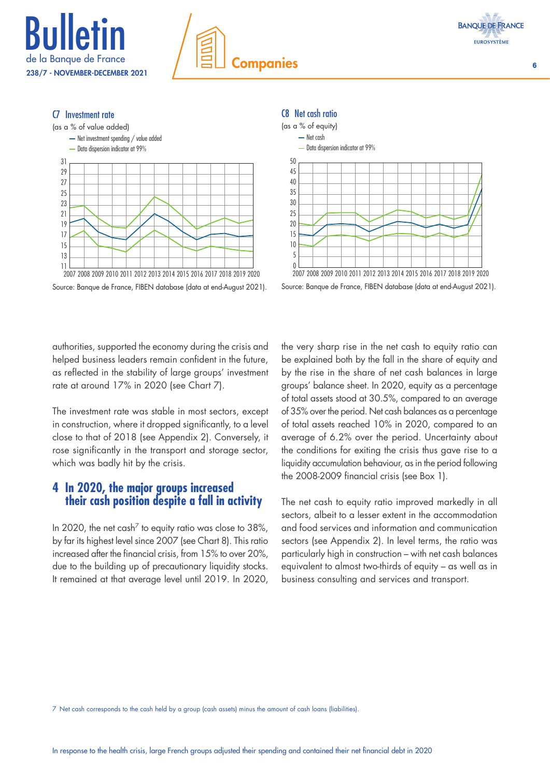









Source: Banque de France, FIBEN database (data at end-August 2021).

Source: Banque de France, FIBEN database (data at end-August 2021).

authorities, supported the economy during the crisis and helped business leaders remain confident in the future, as reflected in the stability of large groups' investment rate at around 17% in 2020 (see Chart 7).

The investment rate was stable in most sectors, except in construction, where it dropped significantly, to a level close to that of 2018 (see Appendix 2). Conversely, it rose significantly in the transport and storage sector, which was badly hit by the crisis.

# **4 In 2020, the major groups increased their cash position despite a fall in activity**

In 2020, the net cash<sup>7</sup> to equity ratio was close to 38%, by far its highest level since 2007 (see Chart 8). This ratio increased after the financial crisis, from 15% to over 20%, due to the building up of precautionary liquidity stocks. It remained at that average level until 2019. In 2020,

the very sharp rise in the net cash to equity ratio can be explained both by the fall in the share of equity and by the rise in the share of net cash balances in large groups' balance sheet. In 2020, equity as a percentage of total assets stood at 30.5%, compared to an average of 35% over the period. Net cash balances as a percentage of total assets reached 10% in 2020, compared to an average of 6.2% over the period. Uncertainty about the conditions for exiting the crisis thus gave rise to a liquidity accumulation behaviour, as in the period following the 2008-2009 financial crisis (see Box 1).

The net cash to equity ratio improved markedly in all sectors, albeit to a lesser extent in the accommodation and food services and information and communication sectors (see Appendix 2). In level terms, the ratio was particularly high in construction – with net cash balances equivalent to almost two-thirds of equity – as well as in business consulting and services and transport.

7 Net cash corresponds to the cash held by a group (cash assets) minus the amount of cash loans (liabilities).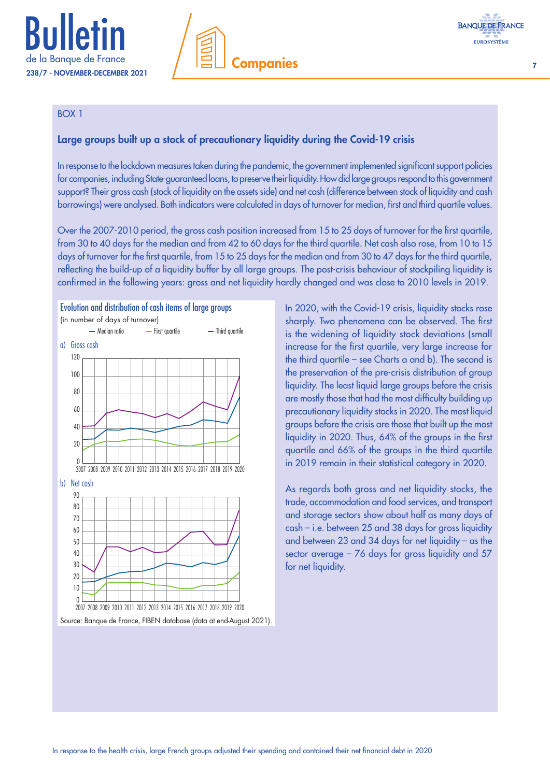

# **Companies** 7



#### BOX 1

# Large groups built up a stock of precautionary liquidity during the Covid-19 crisis

In response to the lockdown measures taken during the pandemic, the government implemented significant support policies for companies, including State-guaranteed loans, to preserve their liquidity. How did large groups respond to this government support? Their gross cash (stock of liquidity on the assets side) and net cash (difference between stock of liquidity and cash borrowings) were analysed. Both indicators were calculated in days of turnover for median, first and third quartile values.

Over the 2007-2010 period, the gross cash position increased from 15 to 25 days of turnover for the first quartile, from 30 to 40 days for the median and from 42 to 60 days for the third quartile. Net cash also rose, from 10 to 15 days of turnover for the first quartile, from 15 to 25 days for the median and from 30 to 47 days for the third quartile, reflecting the build-up of a liquidity buffer by all large groups. The post-crisis behaviour of stockpiling liquidity is confirmed in the following years: gross and net liquidity hardly changed and was close to 2010 levels in 2019.



Source: Banque de France, FIBEN database (data at end-August 2021).

In 2020, with the Covid-19 crisis, liquidity stocks rose sharply. Two phenomena can be observed. The first is the widening of liquidity stock deviations (small increase for the first quartile, very large increase for the third quartile – see Charts a and b). The second is the preservation of the pre-crisis distribution of group liquidity. The least liquid large groups before the crisis are mostly those that had the most difficulty building up precautionary liquidity stocks in 2020. The most liquid groups before the crisis are those that built up the most liquidity in 2020. Thus, 64% of the groups in the first quartile and 66% of the groups in the third quartile in 2019 remain in their statistical category in 2020.

As regards both gross and net liquidity stocks, the trade, accommodation and food services, and transport and storage sectors show about half as many days of cash – i.e. between 25 and 38 days for gross liquidity and between 23 and 34 days for net liquidity – as the sector average – 76 days for gross liquidity and 57 for net liquidity.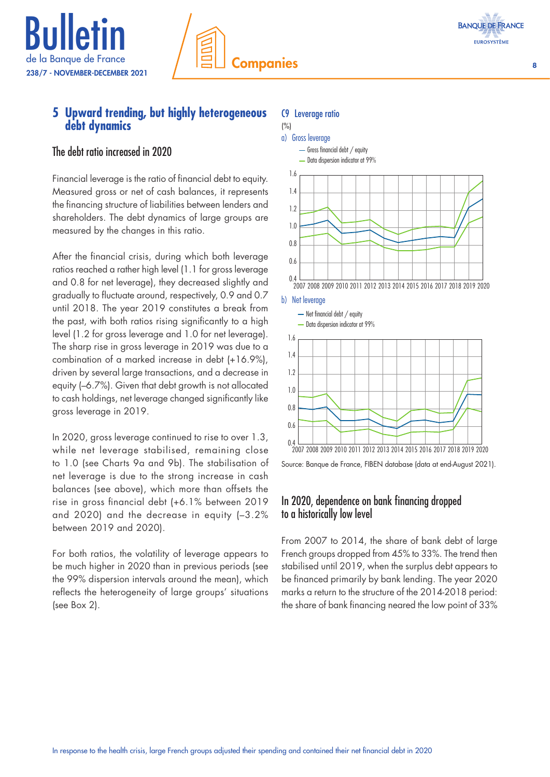



# The debt ratio increased in 2020

Financial leverage is the ratio of financial debt to equity. Measured gross or net of cash balances, it represents the financing structure of liabilities between lenders and shareholders. The debt dynamics of large groups are measured by the changes in this ratio.

After the financial crisis, during which both leverage ratios reached a rather high level (1.1 for gross leverage and 0.8 for net leverage), they decreased slightly and gradually to fluctuate around, respectively, 0.9 and 0.7 until 2018. The year 2019 constitutes a break from the past, with both ratios rising significantly to a high level (1.2 for gross leverage and 1.0 for net leverage). The sharp rise in gross leverage in 2019 was due to a combination of a marked increase in debt (+16.9%), driven by several large transactions, and a decrease in equity (–6.7%). Given that debt growth is not allocated to cash holdings, net leverage changed significantly like gross leverage in 2019.

In 2020, gross leverage continued to rise to over 1.3, while net leverage stabilised, remaining close to 1.0 (see Charts 9a and 9b). The stabilisation of net leverage is due to the strong increase in cash balances (see above), which more than offsets the rise in gross financial debt (+6.1% between 2019 and 2020) and the decrease in equity (–3.2% between 2019 and 2020).

For both ratios, the volatility of leverage appears to be much higher in 2020 than in previous periods (see the 99% dispersion intervals around the mean), which reflects the heterogeneity of large groups' situations (see Box 2).

#### C9 Leverage ratio



# Source: Banque de France, FIBEN database (data at end-August 2021).

# In 2020, dependence on bank financing dropped to a historically low level

From 2007 to 2014, the share of bank debt of large French groups dropped from 45% to 33%. The trend then stabilised until 2019, when the surplus debt appears to be financed primarily by bank lending. The year 2020 marks a return to the structure of the 2014-2018 period: the share of bank financing neared the low point of 33%

**BANQUE DE FRANCE EUROSYSTÈME**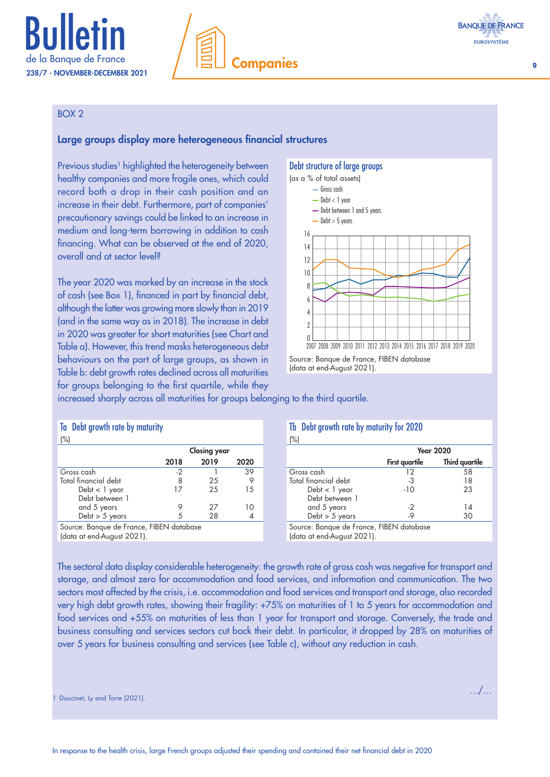



#### BOX 2

#### Large groups display more heterogeneous financial structures

Previous studies<sup>1</sup> highlighted the heterogeneity between healthy companies and more fragile ones, which could record both a drop in their cash position and an increase in their debt. Furthermore, part of companies' precautionary savings could be linked to an increase in medium and long-term borrowing in addition to cash financing. What can be observed at the end of 2020, overall and at sector level?

The year 2020 was marked by an increase in the stock of cash (see Box 1), financed in part by financial debt, although the latter was growing more slowly than in 2019 (and in the same way as in 2018). The increase in debt in 2020 was greater for short maturities (see Chart and Table a). However, this trend masks heterogeneous debt behaviours on the part of large groups, as shown in Table b: debt growth rates declined across all maturities for groups belonging to the first quartile, while they

#### Debt structure of large groups



<sup>(</sup>data at end-August 2021).

increased sharply across all maturities for groups belonging to the third quartile.

#### Ta Debt growth rate by maturity  $($ %)

|                      | <b>Closing year</b> |      |      |
|----------------------|---------------------|------|------|
|                      | 2018                | 2019 | 2020 |
| Gross cash           | -2                  |      | 39   |
| Total financial debt | 8                   | 25   |      |
| Debt < 1 year        | 17                  | 25   | 15   |
| Debt between 1       |                     |      |      |
| and 5 years          |                     | 27   | 0    |
| Debt $> 5$ years     |                     | 28   |      |

Tb Debt growth rate by maturity for 2020

| O.                   |                       |                       |  |
|----------------------|-----------------------|-----------------------|--|
|                      | <b>Year 2020</b>      |                       |  |
|                      | <b>First quartile</b> | <b>Third quartile</b> |  |
| Gross cash           | 12                    | 58                    |  |
| Total financial debt | -3                    | 18                    |  |
| Debt < 1 year        | $-10$                 | 23                    |  |
| Debt between 1       |                       |                       |  |
| and 5 years          | -2                    | 14                    |  |
| Debt $> 5$ years     | -9                    | 30                    |  |
|                      |                       |                       |  |

Source: Banque de France, FIBEN database (data at end-August 2021).

Source: Banque de France, FIBEN database (data at end-August 2021).

The sectoral data display considerable heterogeneity: the growth rate of gross cash was negative for transport and storage, and almost zero for accommodation and food services, and information and communication. The two sectors most affected by the crisis, i.e. accommodation and food services and transport and storage, also recorded very high debt growth rates, showing their fragility: +75% on maturities of 1 to 5 years for accommodation and food services and +55% on maturities of less than 1 year for transport and storage. Conversely, the trade and business consulting and services sectors cut back their debt. In particular, it dropped by 28% on maturities of over 5 years for business consulting and services (see Table c), without any reduction in cash.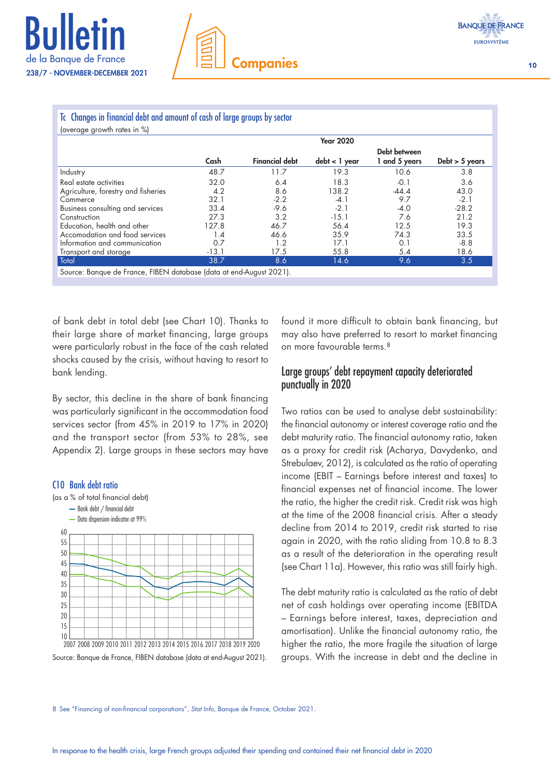

#### Tc Changes in financial debt and amount of cash of large groups by sector (average growth rates in %)

| laveidde diowill idles III \ol                                      |         |                       |                  |                               |                  |
|---------------------------------------------------------------------|---------|-----------------------|------------------|-------------------------------|------------------|
|                                                                     |         |                       | <b>Year 2020</b> |                               |                  |
|                                                                     | Cash    | <b>Financial debt</b> | $debt < 1$ year  | Debt between<br>1 and 5 years | Debt $>$ 5 years |
| Industry                                                            | 48.7    | 11.7                  | 19.3             | 10.6                          | 3.8              |
| Real estate activities                                              | 32.0    | 6.4                   | 18.3             | $-0.1$                        | 3.6              |
| Agriculture, forestry and fisheries                                 | 4.2     | 8.6                   | 138.2            | $-44.4$                       | 43.0             |
| Commerce                                                            | 32.1    | $-2.2$                | $-4.1$           | 9.7                           | $-2.1$           |
| Business consulting and services                                    | 33.4    | $-9.6$                | $-2.1$           | $-4.0$                        | $-28.2$          |
| Construction                                                        | 27.3    | 3.2                   | $-15.1$          | 7.6                           | 21.2             |
| Education, health and other                                         | 127.8   | 46.7                  | 56.4             | 12.5                          | 19.3             |
| Accomodation and food services                                      | 1.4     | 46.6                  | 35.9             | 74.3                          | 33.5             |
| Information and communication                                       | 0.7     | 1.2                   | 17.1             | 0.1                           | $-8.8$           |
| Transport and storage                                               | $-13.1$ | 17.5                  | 55.8             | 5.4                           | 18.6             |
| Total                                                               | 38.7    | 8.6                   | 14.6             | 9.6                           | 3.5              |
| Source: Banque de France, FIBEN database (data at end-August 2021). |         |                       |                  |                               |                  |

of bank debt in total debt (see Chart 10). Thanks to their large share of market financing, large groups were particularly robust in the face of the cash related shocks caused by the crisis, without having to resort to bank lending.

By sector, this decline in the share of bank financing was particularly significant in the accommodation food services sector (from 45% in 2019 to 17% in 2020) and the transport sector (from 53% to 28%, see Appendix 2). Large groups in these sectors may have



Source: Banque de France, FIBEN database (data at end-August 2021).

found it more difficult to obtain bank financing, but may also have preferred to resort to market financing on more favourable terms.<sup>8</sup>

# Large groups' debt repayment capacity deteriorated punctually in 2020

Two ratios can be used to analyse debt sustainability: the financial autonomy or interest coverage ratio and the debt maturity ratio. The financial autonomy ratio, taken as a proxy for credit risk (Acharya, Davydenko, and Strebulaev, 2012), is calculated as the ratio of operating income (EBIT – Earnings before interest and taxes) to financial expenses net of financial income. The lower the ratio, the higher the credit risk. Credit risk was high at the time of the 2008 financial crisis. After a steady decline from 2014 to 2019, credit risk started to rise again in 2020, with the ratio sliding from 10.8 to 8.3 as a result of the deterioration in the operating result (see Chart 11a). However, this ratio was still fairly high.

The debt maturity ratio is calculated as the ratio of debt net of cash holdings over operating income (EBITDA – Earnings before interest, taxes, depreciation and amortisation). Unlike the financial autonomy ratio, the higher the ratio, the more fragile the situation of large groups. With the increase in debt and the decline in

8 See "Financing of non-financial corporations", *Stat Info*, Banque de France, October 2021.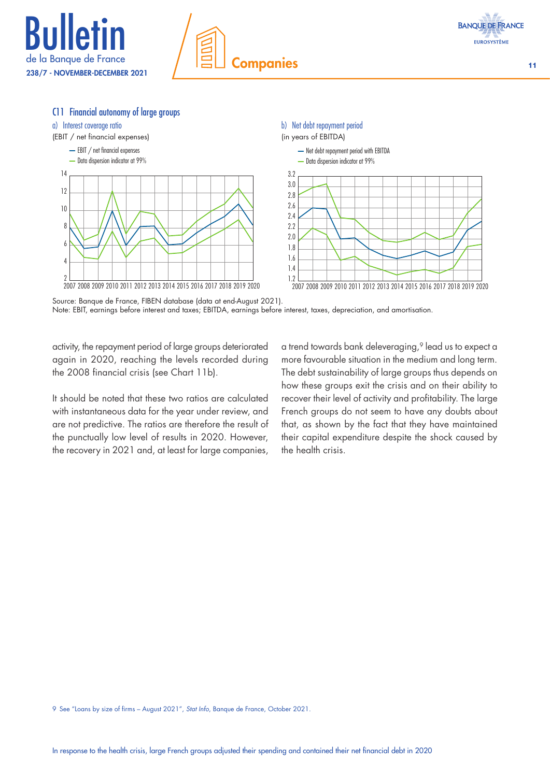



#### C11 Financial autonomy of large groups



Source: Banque de France, FIBEN database (data at end-August 2021). Note: EBIT, earnings before interest and taxes; EBITDA, earnings before interest, taxes, depreciation, and amortisation.

activity, the repayment period of large groups deteriorated again in 2020, reaching the levels recorded during the 2008 financial crisis (see Chart 11b).

It should be noted that these two ratios are calculated with instantaneous data for the year under review, and are not predictive. The ratios are therefore the result of the punctually low level of results in 2020. However, the recovery in 2021 and, at least for large companies, a trend towards bank deleveraging,<sup>9</sup> lead us to expect a more favourable situation in the medium and long term. The debt sustainability of large groups thus depends on how these groups exit the crisis and on their ability to recover their level of activity and profitability. The large French groups do not seem to have any doubts about that, as shown by the fact that they have maintained their capital expenditure despite the shock caused by the health crisis.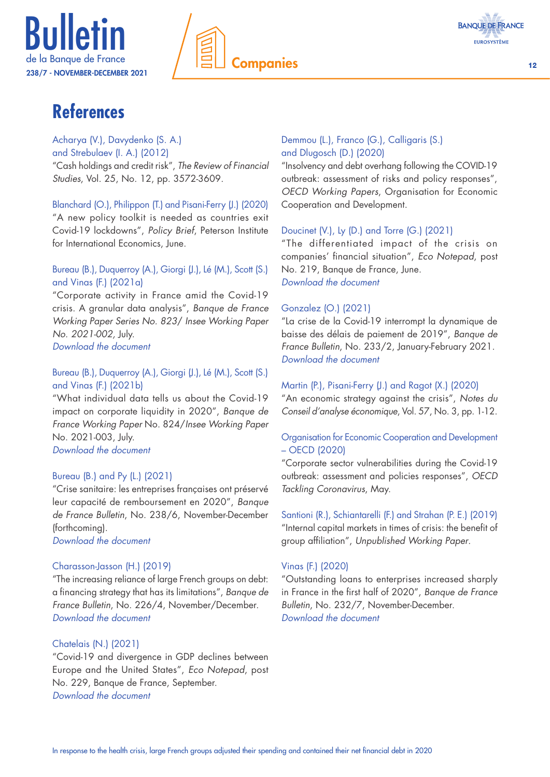

**Companies** 12



# **References**

Acharya (V.), Davydenko (S. A.) and Strebulaev (I. A.) (2012) "Cash holdings and credit risk", *The Review of Financial Studies*, Vol. 25, No. 12, pp. 3572-3609.

Blanchard (O.), Philippon (T.) and Pisani-Ferry (J.) (2020) "A new policy toolkit is needed as countries exit Covid-19 lockdowns", *Policy Brief*, Peterson Institute for International Economics, June.

## Bureau (B.), Duquerroy (A.), Giorgi (J.), Lé (M.), Scott (S.) and Vinas (F.) (2021a)

"Corporate activity in France amid the Covid-19 crisis. A granular data analysis", *Banque de France Working Paper Series No. 823*/ *Insee Working Paper No. 2021‑002,* July. *[Download the document](https://publications.banque-france.fr/en/corporate-activity-france-amid-covid-19-crisis-granular-data-analysis)*

Bureau (B.), Duquerroy (A.), Giorgi (J.), Lé (M.), Scott (S.) and Vinas (F.) (2021b)

"What individual data tells us about the Covid-19 impact on corporate liquidity in 2020", *Banque de France Working Paper* No. 824/*Insee Working Paper*  No. 2021-003, July. *[Download the document](https://publications.banque-france.fr/en/what-individual-data-tells-us-about-covid-19-impact-corporate-liquidity-2020)*

## Bureau (B.) and Py (L.) (2021)

"Crise sanitaire: les entreprises françaises ont préservé leur capacité de remboursement en 2020", *Banque de France Bulletin*, No. 238/6, November-December (forthcoming).

*[Download the document](https://publications.banque-france.fr/crise-sanitaire-les-entreprises-francaises-ont-preserve-leur-capacite-de-remboursement-en-2020)*

## Charasson-Jasson (H.) (2019)

"The increasing reliance of large French groups on debt: a financing strategy that has its limitations", *Banque de France Bulletin*, No. 226/4, November/December. *[Download the document](https://publications.banque-france.fr/en/increasing-reliance-large-french-groups-debt-financing-strategy-has-its-limitations)*

#### Chatelais (N.) (2021)

"Covid-19 and divergence in GDP declines between Europe and the United States", *Eco Notepad*, post No. 229, Banque de France, September. *[Download the document](https://blocnotesdeleco.banque-france.fr/en/blog-entry/covid-19-and-divergence-gdp-declines-between-europe-and-united-states)*

# Demmou (L.), Franco (G.), Calligaris (S.) and Dlugosch (D.) (2020)

"Insolvency and debt overhang following the COVID-19 outbreak: assessment of risks and policy responses", *OECD Working Papers*, Organisation for Economic Cooperation and Development.

## Doucinet (V.), Ly (D.) and Torre (G.) (2021)

"The differentiated impact of the crisis on companies' financial situation", *Eco Notepad*, post No. 219, Banque de France, June. *[Download the document](https://blocnotesdeleco.banque-france.fr/en/blog-entry/differentiated-impact-crisis-companies-financial-situation)*

# Gonzalez (O.) (2021)

"La crise de la Covid-19 interrompt la dynamique de baisse des délais de paiement de 2019", *Banque de France Bulletin*, No. 233/2, January-February 2021. *[Download the document](https://publications.banque-france.fr/la-crise-de-la-covid-19-interrompt-la-dynamique-de-baisse-des-delais-de-paiement-de-2019)*

## Martin (P.), Pisani-Ferry (J.) and Ragot (X.) (2020)

"An economic strategy against the crisis", *Notes du Conseil d'analyse économique*, Vol. 57, No. 3, pp. 1-12.

## Organisation for Economic Cooperation and Development – OECD (2020)

"Corporate sector vulnerabilities during the Covid-19 outbreak: assessment and policies responses", *OECD Tackling Coronavirus*, May.

Santioni (R.), Schiantarelli (F.) and Strahan (P. E.) (2019) "Internal capital markets in times of crisis: the benefit of group affiliation", *Unpublished Working Paper*.

## Vinas (F.) (2020)

"Outstanding loans to enterprises increased sharply in France in the first half of 2020", *Banque de France Bulletin*, No. 232/7, November-December. *[Download the document](https://publications.banque-france.fr/en/outstanding-loans-enterprises-increased-sharply-france-first-half-2020-0)*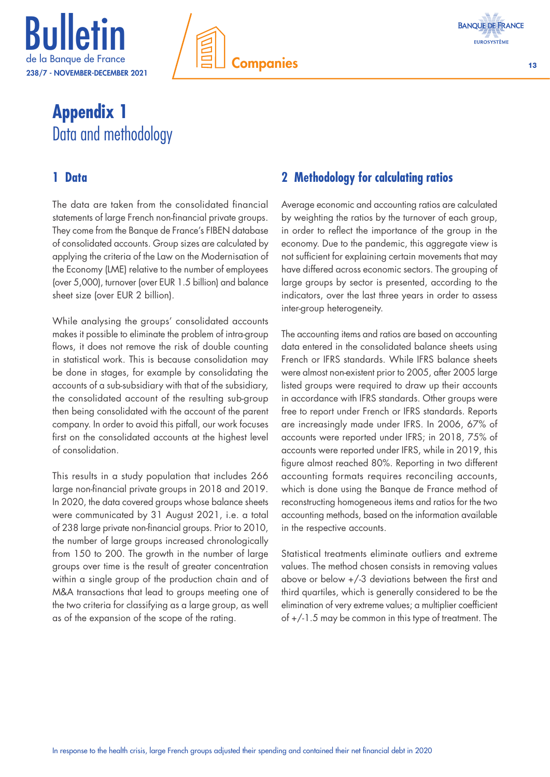





# **Appendix 1** Data and methodology

# **1 Data**

The data are taken from the consolidated financial statements of large French non-financial private groups. They come from the Banque de France's FIBEN database of consolidated accounts. Group sizes are calculated by applying the criteria of the Law on the Modernisation of the Economy (LME) relative to the number of employees (over 5,000), turnover (over EUR 1.5 billion) and balance sheet size (over EUR 2 billion).

While analysing the groups' consolidated accounts makes it possible to eliminate the problem of intra-group flows, it does not remove the risk of double counting in statistical work. This is because consolidation may be done in stages, for example by consolidating the accounts of a sub-subsidiary with that of the subsidiary, the consolidated account of the resulting sub-group then being consolidated with the account of the parent company. In order to avoid this pitfall, our work focuses first on the consolidated accounts at the highest level of consolidation.

This results in a study population that includes 266 large non-financial private groups in 2018 and 2019. In 2020, the data covered groups whose balance sheets were communicated by 31 August 2021, i.e. a total of 238 large private non-financial groups. Prior to 2010, the number of large groups increased chronologically from 150 to 200. The growth in the number of large groups over time is the result of greater concentration within a single group of the production chain and of M&A transactions that lead to groups meeting one of the two criteria for classifying as a large group, as well as of the expansion of the scope of the rating.

# **2 Methodology for calculating ratios**

Average economic and accounting ratios are calculated by weighting the ratios by the turnover of each group, in order to reflect the importance of the group in the economy. Due to the pandemic, this aggregate view is not sufficient for explaining certain movements that may have differed across economic sectors. The grouping of large groups by sector is presented, according to the indicators, over the last three years in order to assess inter-group heterogeneity.

The accounting items and ratios are based on accounting data entered in the consolidated balance sheets using French or IFRS standards. While IFRS balance sheets were almost non-existent prior to 2005, after 2005 large listed groups were required to draw up their accounts in accordance with IFRS standards. Other groups were free to report under French or IFRS standards. Reports are increasingly made under IFRS. In 2006, 67% of accounts were reported under IFRS; in 2018, 75% of accounts were reported under IFRS, while in 2019, this figure almost reached 80%. Reporting in two different accounting formats requires reconciling accounts, which is done using the Banque de France method of reconstructing homogeneous items and ratios for the two accounting methods, based on the information available in the respective accounts.

Statistical treatments eliminate outliers and extreme values. The method chosen consists in removing values above or below +/-3 deviations between the first and third quartiles, which is generally considered to be the elimination of very extreme values; a multiplier coefficient of +/-1.5 may be common in this type of treatment. The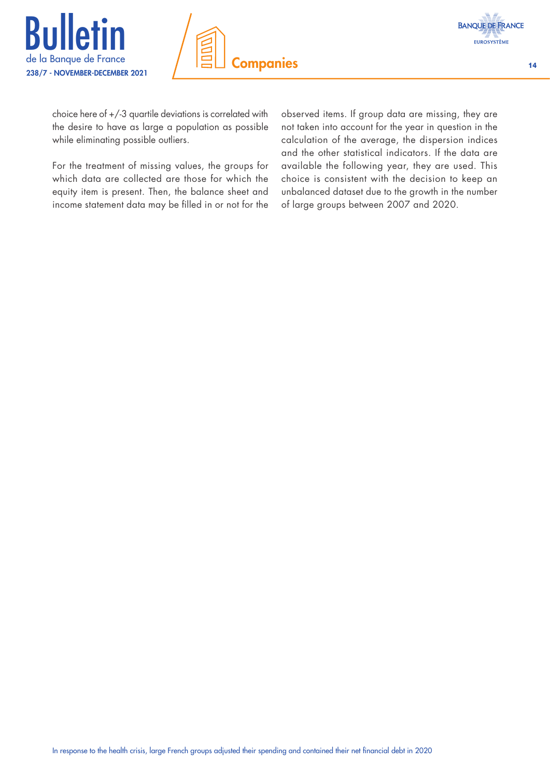





choice here of +/-3 quartile deviations is correlated with the desire to have as large a population as possible while eliminating possible outliers.

For the treatment of missing values, the groups for which data are collected are those for which the equity item is present. Then, the balance sheet and income statement data may be filled in or not for the

observed items. If group data are missing, they are not taken into account for the year in question in the calculation of the average, the dispersion indices and the other statistical indicators. If the data are available the following year, they are used. This choice is consistent with the decision to keep an unbalanced dataset due to the growth in the number of large groups between 2007 and 2020.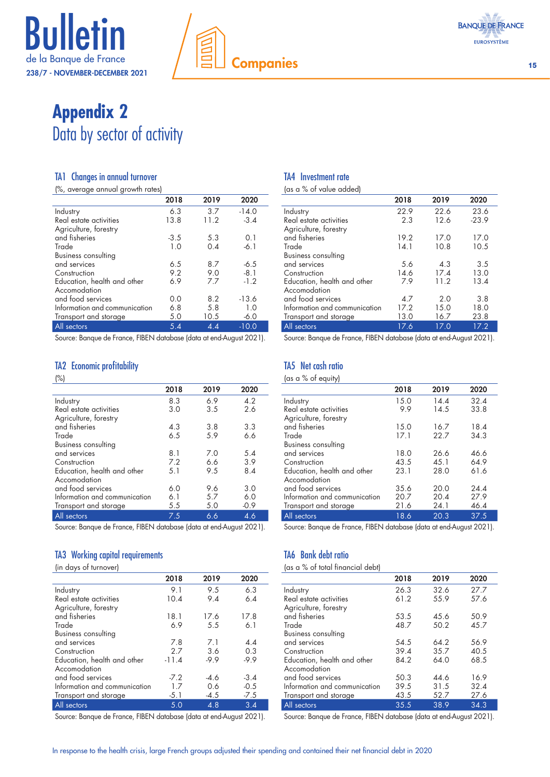

# **Appendix 2** Data by sector of activity

#### TA1 Changes in annual turnover

(%, average annual growth rates)

| l o' aveidde annual diowni ialesl |        |      |         |
|-----------------------------------|--------|------|---------|
|                                   | 2018   | 2019 | 2020    |
| Industry                          | 6.3    | 3.7  | $-14.0$ |
| Real estate activities            | 13.8   | 11.2 | $-3.4$  |
| Agriculture, forestry             |        |      |         |
| and fisheries                     | $-3.5$ | 5.3  | 0.1     |
| Trade                             | 1.0    | 0.4  | $-6.1$  |
| <b>Business consulting</b>        |        |      |         |
| and services                      | 6.5    | 8.7  | $-6.5$  |
| Construction                      | 9.2    | 9.0  | $-8.1$  |
| Education, health and other       | 6.9    | 7.7  | $-1.2$  |
| Accomodation                      |        |      |         |
| and food services                 | 0.0    | 8.2  | $-13.6$ |
| Information and communication     | 6.8    | 5.8  | 1.0     |
| Transport and storage             | 5.0    | 10.5 | $-6.0$  |
| All sectors                       | 5.4    | 4.4  | $-10.0$ |
|                                   |        |      |         |

Source: Banque de France, FIBEN database (data at end-August 2021).

#### TA2 Economic profitability

#### (%)

|                               | 2018 | 2019 | 2020   |
|-------------------------------|------|------|--------|
| Industry                      | 8.3  | 6.9  | 4.2    |
| Real estate activities        | 3.0  | 3.5  | 2.6    |
| Agriculture, forestry         |      |      |        |
| and fisheries                 | 4.3  | 3.8  | 3.3    |
| Trade                         | 6.5  | 5.9  | 6.6    |
| <b>Business consulting</b>    |      |      |        |
| and services                  | 8.1  | 7.0  | 5.4    |
| Construction                  | 7.2  | 6.6  | 3.9    |
| Education, health and other   | 5.1  | 9.5  | 8.4    |
| Accomodation                  |      |      |        |
| and food services             | 6.0  | 9.6  | 3.0    |
| Information and communication | 6.1  | 5.7  | 6.0    |
| Transport and storage         | 5.5  | 5.0  | $-0.9$ |
| All sectors                   | 7.5  | 6.6  | 4.6    |

Source: Banque de France, FIBEN database (data at end-August 2021).

#### TA3 Working capital requirements

(in days of turnover)

| liii aasoo ilmiilosei l       |         |        |        |  |
|-------------------------------|---------|--------|--------|--|
|                               | 2018    | 2019   | 2020   |  |
| Industry                      | 9.1     | 9.5    | 6.3    |  |
| Real estate activities        | 10.4    | 9.4    | 6.4    |  |
| Agriculture, forestry         |         |        |        |  |
| and fisheries                 | 18.1    | 17.6   | 17.8   |  |
| Trade                         | 6.9     | 5.5    | 6.1    |  |
| <b>Business consulting</b>    |         |        |        |  |
| and services                  | 7.8     | 7.1    | 4.4    |  |
| Construction                  | 2.7     | 3.6    | 0.3    |  |
| Education, health and other   | $-11.4$ | $-9.9$ | $-9.9$ |  |
| Accomodation                  |         |        |        |  |
| and food services             | $-7.2$  | $-4.6$ | $-3.4$ |  |
| Information and communication | 1.7     | 0.6    | $-0.5$ |  |
| Transport and storage         | $-5.1$  | $-4.5$ | $-7.5$ |  |
| All sectors                   | 5.0     | 4.8    | 3.4    |  |

Source: Banque de France, FIBEN database (data at end-August 2021).

#### TA4 Investment rate

(as a % of value added)

|                               | 2018 | 2019 | 2020    |
|-------------------------------|------|------|---------|
| Industry                      | 22.9 | 22.6 | 23.6    |
| Real estate activities        | 2.3  | 12.6 | $-23.9$ |
| Agriculture, forestry         |      |      |         |
| and fisheries                 | 19.2 | 17.0 | 17.0    |
| Trade                         | 14.1 | 10.8 | 10.5    |
| <b>Business consulting</b>    |      |      |         |
| and services                  | 5.6  | 4.3  | 3.5     |
| Construction                  | 14.6 | 17.4 | 13.0    |
| Education, health and other   | 7.9  | 11.2 | 13.4    |
| Accomodation                  |      |      |         |
| and food services             | 4.7  | 2.0  | 3.8     |
| Information and communication | 17.2 | 15.0 | 18.0    |
| Transport and storage         | 13.0 | 16.7 | 23.8    |
| All sectors                   | 17.6 | 17.0 | 17.2    |

Source: Banque de France, FIBEN database (data at end-August 2021).

# TA5 Net cash ratio

(as a % of equity)

|                               | 2018 | 2019 | 2020 |
|-------------------------------|------|------|------|
| Industry                      | 15.0 | 14.4 | 32.4 |
| Real estate activities        | 9.9  | 14.5 | 33.8 |
| Agriculture, forestry         |      |      |      |
| and fisheries                 | 15.0 | 16.7 | 18.4 |
| Trade                         | 17.1 | 22.7 | 34.3 |
| <b>Business consulting</b>    |      |      |      |
| and services                  | 18.0 | 26.6 | 46.6 |
| Construction                  | 43.5 | 45.1 | 64.9 |
| Education, health and other   | 23.1 | 28.0 | 61.6 |
| Accomodation                  |      |      |      |
| and food services             | 35.6 | 20.0 | 24.4 |
| Information and communication | 20.7 | 20.4 | 27.9 |
| Transport and storage         | 21.6 | 24.1 | 46.4 |
| All sectors                   | 18.6 | 20.3 | 37.5 |

Source: Banque de France, FIBEN database (data at end-August 2021).

# TA6 Bank debt ratio

(as a % of total financial debt)

|                               | 2018 | 2019 | 2020 |
|-------------------------------|------|------|------|
| Industry                      | 26.3 | 32.6 | 27.7 |
| Real estate activities        | 61.2 | 55.9 | 57.6 |
| Agriculture, forestry         |      |      |      |
| and fisheries                 | 53.5 | 45.6 | 50.9 |
| Trade                         | 48.7 | 50.2 | 45.7 |
| <b>Business consulting</b>    |      |      |      |
| and services                  | 54.5 | 64.2 | 56.9 |
| Construction                  | 39.4 | 35.7 | 40.5 |
| Education, health and other   | 84.2 | 64.0 | 68.5 |
| Accomodation                  |      |      |      |
| and food services             | 50.3 | 44.6 | 16.9 |
| Information and communication | 39.5 | 31.5 | 32.4 |
| Transport and storage         | 43.5 | 52.7 | 27.6 |
| All sectors                   | 35.5 | 38.9 | 34.3 |

Source: Banque de France, FIBEN database (data at end-August 2021).